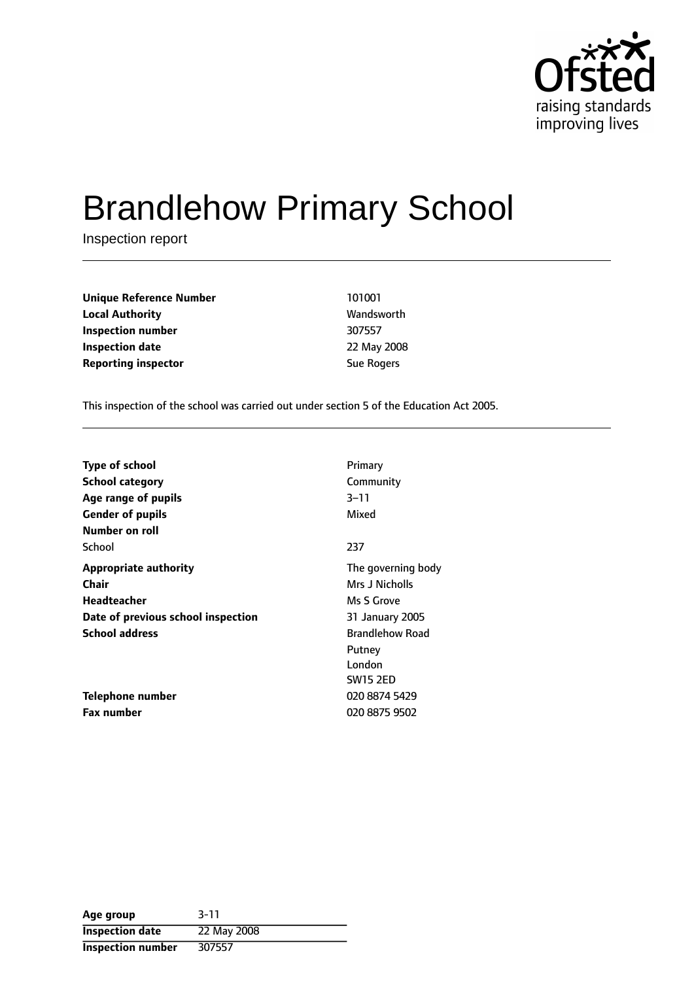

# Brandlehow Primary School

Inspection report

**Unique Reference Number** 101001 **Local Authority Wandsworth Inspection number** 307557 **Inspection date** 22 May 2008 **Reporting inspector Sue Rogers** Sue Rogers

This inspection of the school was carried out under section 5 of the Education Act 2005.

| <b>Type of school</b>              | Primary                |
|------------------------------------|------------------------|
| <b>School category</b>             | Community              |
| Age range of pupils                | $3 - 11$               |
| <b>Gender of pupils</b>            | Mixed                  |
| Number on roll                     |                        |
| School                             | 237                    |
| <b>Appropriate authority</b>       | The governing body     |
| Chair                              | Mrs J Nicholls         |
| Headteacher                        | Ms S Grove             |
| Date of previous school inspection | 31 January 2005        |
| <b>School address</b>              | <b>Brandlehow Road</b> |
|                                    | Putney                 |
|                                    | London                 |
|                                    | <b>SW15 2ED</b>        |
| Telephone number                   | 020 8874 5429          |
| <b>Fax number</b>                  | 020 8875 9502          |

| Age group              | $3 - 11$    |
|------------------------|-------------|
| <b>Inspection date</b> | 22 May 2008 |
| Inspection number      | 307557      |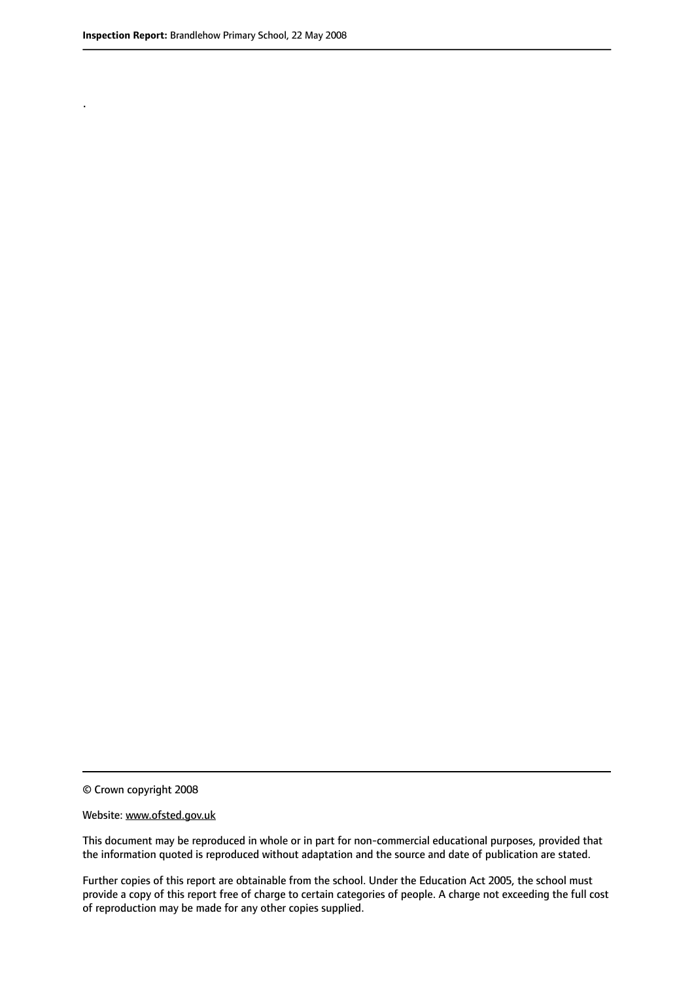.

© Crown copyright 2008

#### Website: www.ofsted.gov.uk

This document may be reproduced in whole or in part for non-commercial educational purposes, provided that the information quoted is reproduced without adaptation and the source and date of publication are stated.

Further copies of this report are obtainable from the school. Under the Education Act 2005, the school must provide a copy of this report free of charge to certain categories of people. A charge not exceeding the full cost of reproduction may be made for any other copies supplied.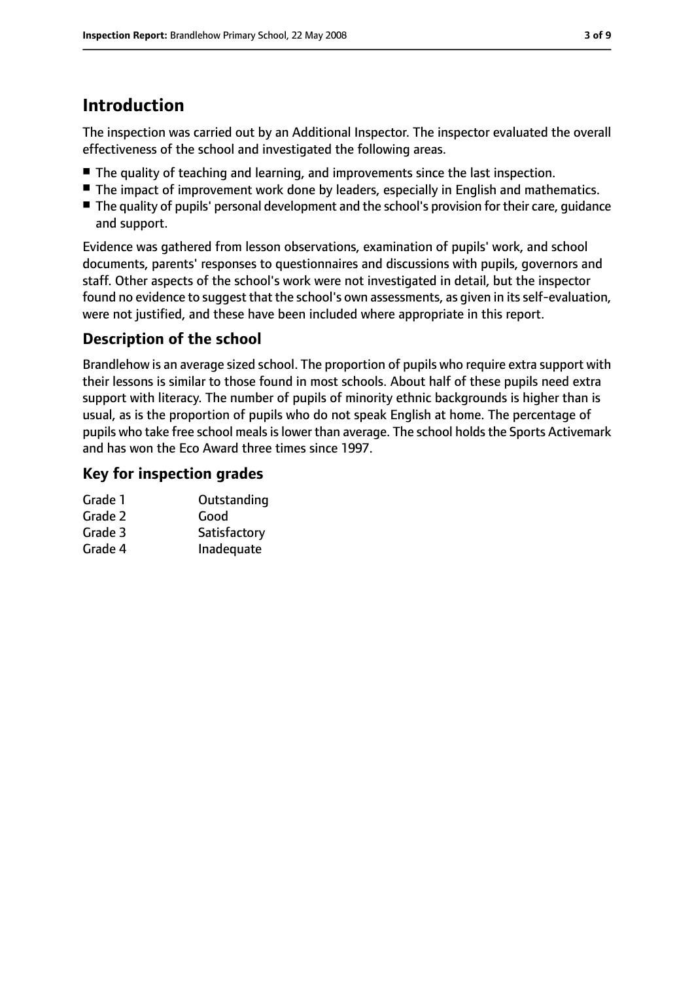# **Introduction**

The inspection was carried out by an Additional Inspector. The inspector evaluated the overall effectiveness of the school and investigated the following areas.

- The quality of teaching and learning, and improvements since the last inspection.
- The impact of improvement work done by leaders, especially in English and mathematics.
- The quality of pupils' personal development and the school's provision for their care, quidance and support.

Evidence was gathered from lesson observations, examination of pupils' work, and school documents, parents' responses to questionnaires and discussions with pupils, governors and staff. Other aspects of the school's work were not investigated in detail, but the inspector found no evidence to suggest that the school's own assessments, as given in itsself-evaluation, were not justified, and these have been included where appropriate in this report.

## **Description of the school**

Brandlehow is an average sized school. The proportion of pupils who require extra support with their lessons is similar to those found in most schools. About half of these pupils need extra support with literacy. The number of pupils of minority ethnic backgrounds is higher than is usual, as is the proportion of pupils who do not speak English at home. The percentage of pupils who take free school meals is lower than average. The school holds the Sports Activemark and has won the Eco Award three times since 1997.

## **Key for inspection grades**

| Grade 1 | Outstanding  |
|---------|--------------|
| Grade 2 | Good         |
| Grade 3 | Satisfactory |
| Grade 4 | Inadequate   |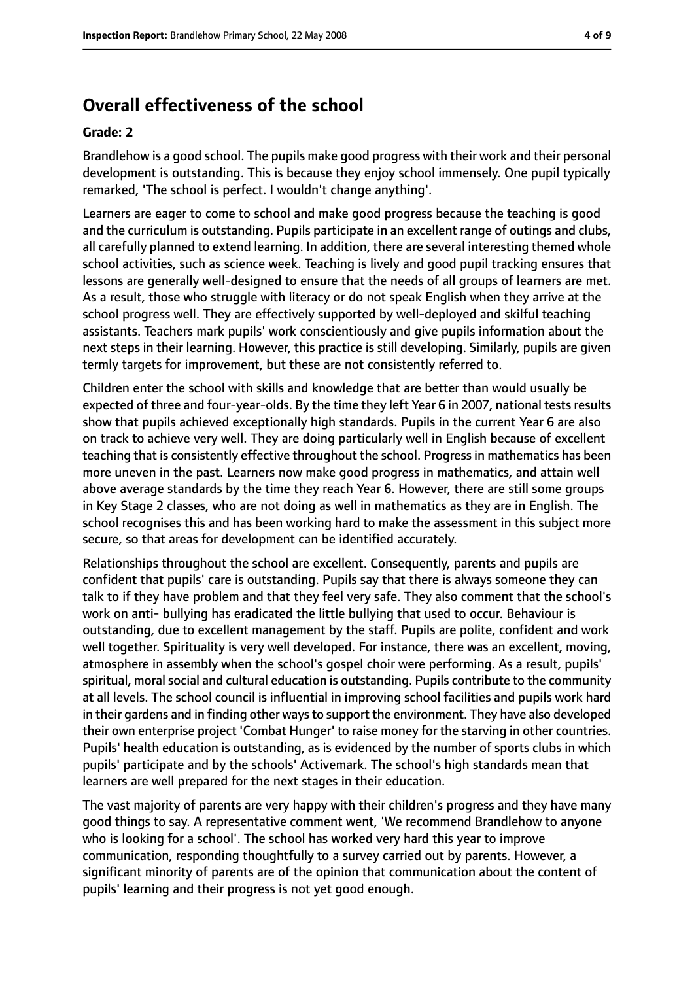## **Overall effectiveness of the school**

#### **Grade: 2**

Brandlehow is a good school. The pupils make good progress with their work and their personal development is outstanding. This is because they enjoy school immensely. One pupil typically remarked, 'The school is perfect. I wouldn't change anything'.

Learners are eager to come to school and make good progress because the teaching is good and the curriculum is outstanding. Pupils participate in an excellent range of outings and clubs, all carefully planned to extend learning. In addition, there are several interesting themed whole school activities, such as science week. Teaching is lively and good pupil tracking ensures that lessons are generally well-designed to ensure that the needs of all groups of learners are met. As a result, those who struggle with literacy or do not speak English when they arrive at the school progress well. They are effectively supported by well-deployed and skilful teaching assistants. Teachers mark pupils' work conscientiously and give pupils information about the next steps in their learning. However, this practice is still developing. Similarly, pupils are given termly targets for improvement, but these are not consistently referred to.

Children enter the school with skills and knowledge that are better than would usually be expected of three and four-year-olds. By the time they left Year 6 in 2007, national tests results show that pupils achieved exceptionally high standards. Pupils in the current Year 6 are also on track to achieve very well. They are doing particularly well in English because of excellent teaching that is consistently effective throughout the school. Progress in mathematics has been more uneven in the past. Learners now make good progress in mathematics, and attain well above average standards by the time they reach Year 6. However, there are still some groups in Key Stage 2 classes, who are not doing as well in mathematics as they are in English. The school recognises this and has been working hard to make the assessment in this subject more secure, so that areas for development can be identified accurately.

Relationships throughout the school are excellent. Consequently, parents and pupils are confident that pupils' care is outstanding. Pupils say that there is always someone they can talk to if they have problem and that they feel very safe. They also comment that the school's work on anti- bullying has eradicated the little bullying that used to occur. Behaviour is outstanding, due to excellent management by the staff. Pupils are polite, confident and work well together. Spirituality is very well developed. For instance, there was an excellent, moving, atmosphere in assembly when the school's gospel choir were performing. As a result, pupils' spiritual, moral social and cultural education is outstanding. Pupils contribute to the community at all levels. The school council is influential in improving school facilities and pupils work hard in their gardens and in finding other ways to support the environment. They have also developed their own enterprise project 'Combat Hunger' to raise money for the starving in other countries. Pupils' health education is outstanding, as is evidenced by the number of sports clubs in which pupils' participate and by the schools' Activemark. The school's high standards mean that learners are well prepared for the next stages in their education.

The vast majority of parents are very happy with their children's progress and they have many good things to say. A representative comment went, 'We recommend Brandlehow to anyone who is looking for a school'. The school has worked very hard this year to improve communication, responding thoughtfully to a survey carried out by parents. However, a significant minority of parents are of the opinion that communication about the content of pupils' learning and their progress is not yet good enough.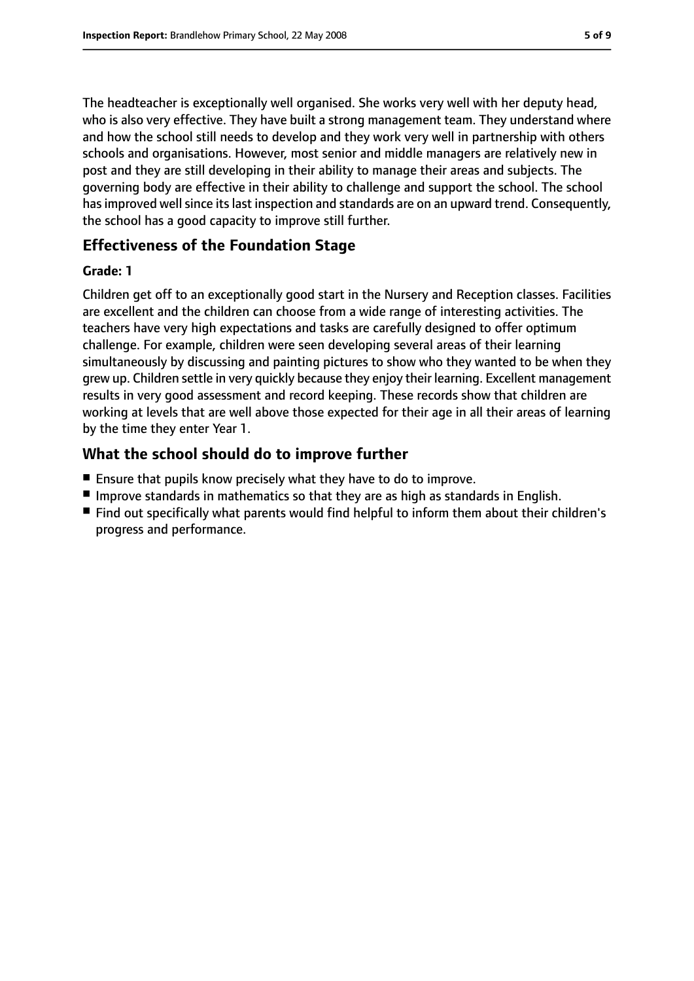The headteacher is exceptionally well organised. She works very well with her deputy head, who is also very effective. They have built a strong management team. They understand where and how the school still needs to develop and they work very well in partnership with others schools and organisations. However, most senior and middle managers are relatively new in post and they are still developing in their ability to manage their areas and subjects. The governing body are effective in their ability to challenge and support the school. The school has improved well since its last inspection and standards are on an upward trend. Consequently, the school has a good capacity to improve still further.

## **Effectiveness of the Foundation Stage**

#### **Grade: 1**

Children get off to an exceptionally good start in the Nursery and Reception classes. Facilities are excellent and the children can choose from a wide range of interesting activities. The teachers have very high expectations and tasks are carefully designed to offer optimum challenge. For example, children were seen developing several areas of their learning simultaneously by discussing and painting pictures to show who they wanted to be when they grew up. Children settle in very quickly because they enjoy their learning. Excellent management results in very good assessment and record keeping. These records show that children are working at levels that are well above those expected for their age in all their areas of learning by the time they enter Year 1.

## **What the school should do to improve further**

- Ensure that pupils know precisely what they have to do to improve.
- Improve standards in mathematics so that they are as high as standards in English.
- Find out specifically what parents would find helpful to inform them about their children's progress and performance.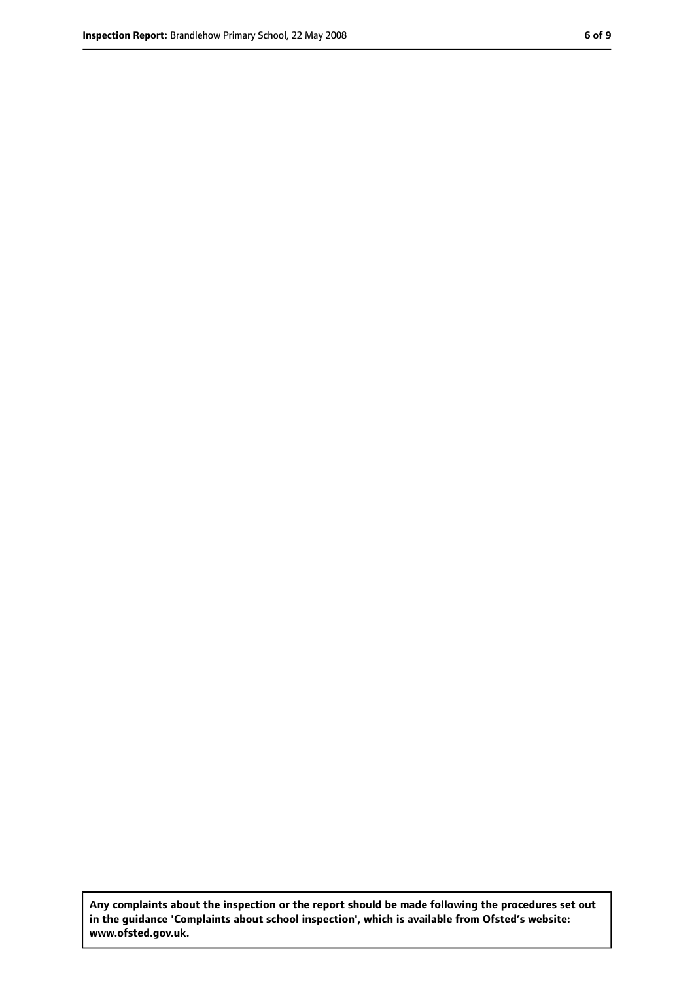**Any complaints about the inspection or the report should be made following the procedures set out in the guidance 'Complaints about school inspection', which is available from Ofsted's website: www.ofsted.gov.uk.**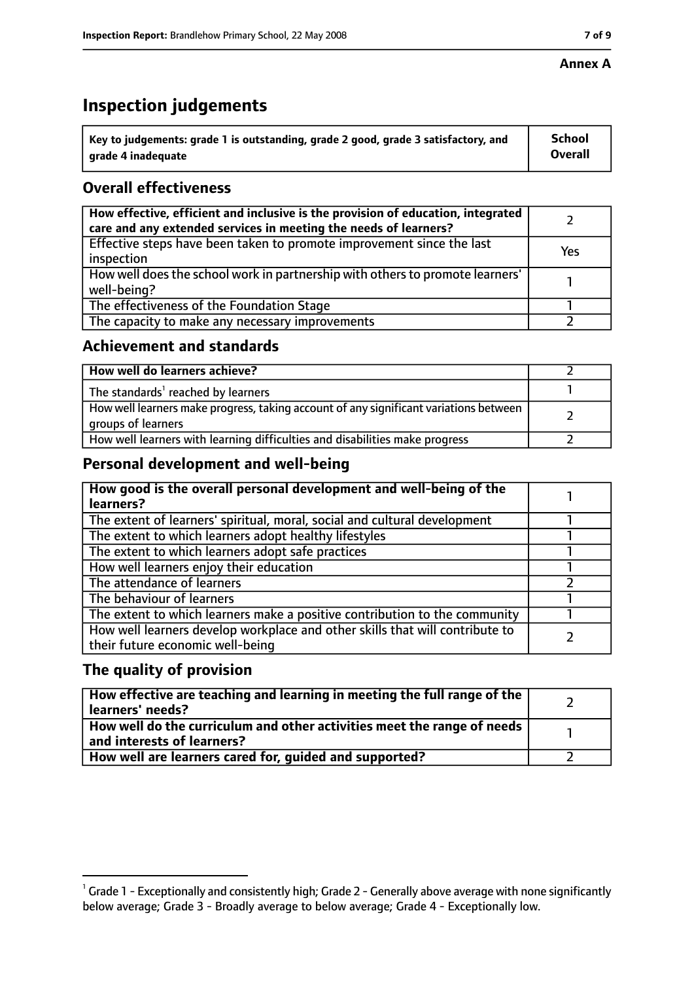#### **Annex A**

# **Inspection judgements**

| $^{\backprime}$ Key to judgements: grade 1 is outstanding, grade 2 good, grade 3 satisfactory, and | <b>School</b>  |
|----------------------------------------------------------------------------------------------------|----------------|
| arade 4 inadequate                                                                                 | <b>Overall</b> |

## **Overall effectiveness**

| How effective, efficient and inclusive is the provision of education, integrated<br>care and any extended services in meeting the needs of learners? |     |
|------------------------------------------------------------------------------------------------------------------------------------------------------|-----|
| Effective steps have been taken to promote improvement since the last<br>inspection                                                                  | Yes |
| How well does the school work in partnership with others to promote learners'<br>well-being?                                                         |     |
| The effectiveness of the Foundation Stage                                                                                                            |     |
| The capacity to make any necessary improvements                                                                                                      |     |

### **Achievement and standards**

| How well do learners achieve?                                                                               |  |
|-------------------------------------------------------------------------------------------------------------|--|
| The standards <sup>1</sup> reached by learners                                                              |  |
| How well learners make progress, taking account of any significant variations between<br>groups of learners |  |
| How well learners with learning difficulties and disabilities make progress                                 |  |

## **Personal development and well-being**

| How good is the overall personal development and well-being of the<br>learners?                                  |  |
|------------------------------------------------------------------------------------------------------------------|--|
| The extent of learners' spiritual, moral, social and cultural development                                        |  |
| The extent to which learners adopt healthy lifestyles                                                            |  |
| The extent to which learners adopt safe practices                                                                |  |
| How well learners enjoy their education                                                                          |  |
| The attendance of learners                                                                                       |  |
| The behaviour of learners                                                                                        |  |
| The extent to which learners make a positive contribution to the community                                       |  |
| How well learners develop workplace and other skills that will contribute to<br>their future economic well-being |  |

## **The quality of provision**

| How effective are teaching and learning in meeting the full range of the<br>learners' needs?          |  |
|-------------------------------------------------------------------------------------------------------|--|
| How well do the curriculum and other activities meet the range of needs<br>and interests of learners? |  |
| How well are learners cared for, guided and supported?                                                |  |

 $^1$  Grade 1 - Exceptionally and consistently high; Grade 2 - Generally above average with none significantly below average; Grade 3 - Broadly average to below average; Grade 4 - Exceptionally low.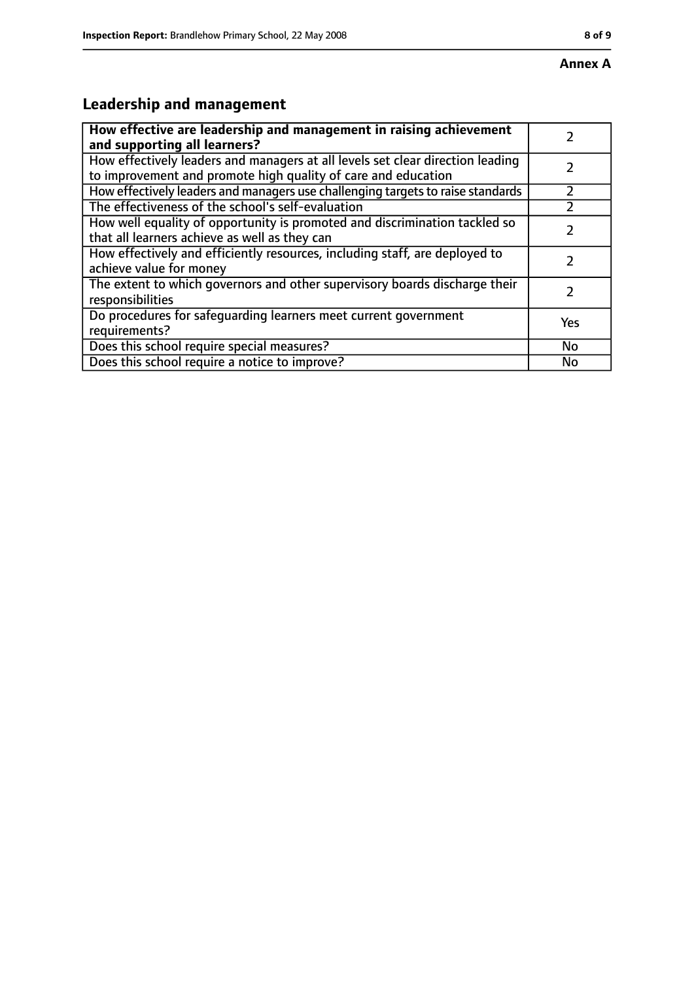# **Leadership and management**

| How effective are leadership and management in raising achievement<br>and supporting all learners?                                              |     |
|-------------------------------------------------------------------------------------------------------------------------------------------------|-----|
| How effectively leaders and managers at all levels set clear direction leading<br>to improvement and promote high quality of care and education |     |
| How effectively leaders and managers use challenging targets to raise standards                                                                 |     |
| The effectiveness of the school's self-evaluation                                                                                               |     |
| How well equality of opportunity is promoted and discrimination tackled so<br>that all learners achieve as well as they can                     |     |
| How effectively and efficiently resources, including staff, are deployed to<br>achieve value for money                                          |     |
| The extent to which governors and other supervisory boards discharge their<br>responsibilities                                                  | 7   |
| Do procedures for safequarding learners meet current government<br>requirements?                                                                | Yes |
| Does this school require special measures?                                                                                                      | No  |
| Does this school require a notice to improve?                                                                                                   | No  |